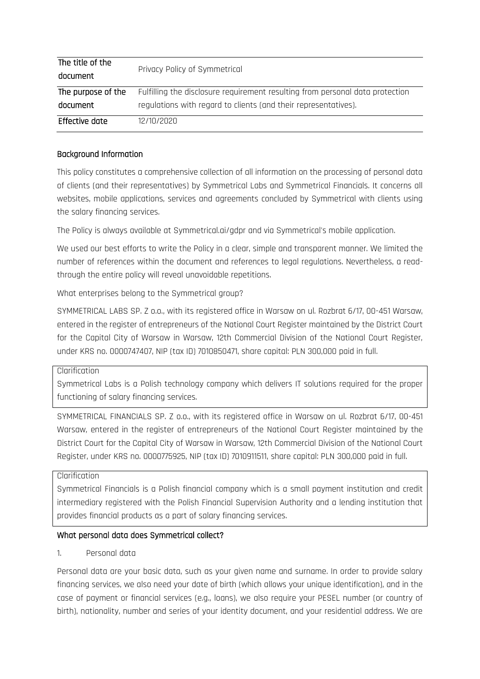| The title of the<br>document | Privacy Policy of Symmetrical                                                 |
|------------------------------|-------------------------------------------------------------------------------|
| The purpose of the           | Fulfilling the disclosure requirement resulting from personal data protection |
| document                     | regulations with regard to clients (and their representatives).               |
| Effective date               | 12/10/2020                                                                    |

#### Background Information

This policy constitutes a comprehensive collection of all information on the processing of personal data of clients (and their representatives) by Symmetrical Labs and Symmetrical Financials. It concerns all websites, mobile applications, services and agreements concluded by Symmetrical with clients using the salary financing services.

The Policy is always available at Symmetrical.ai/gdpr and via Symmetrical's mobile application.

We used our best efforts to write the Policy in a clear, simple and transparent manner. We limited the number of references within the document and references to legal regulations. Nevertheless, a readthrough the entire policy will reveal unavoidable repetitions.

What enterprises belong to the Symmetrical group?

SYMMETRICAL LABS SP. Z o.o., with its registered office in Warsaw on ul. Rozbrat 6/17, 00-451 Warsaw, entered in the register of entrepreneurs of the National Court Register maintained by the District Court for the Capital City of Warsaw in Warsaw, 12th Commercial Division of the National Court Register, under KRS no. 0000747407, NIP (tax ID) 7010850471, share capital: PLN 300,000 paid in full.

#### Clarification

Symmetrical Labs is a Polish technology company which delivers IT solutions required for the proper functioning of salary financing services.

SYMMETRICAL FINANCIALS SP. Z o.o., with its registered office in Warsaw on ul. Rozbrat 6/17, 00-451 Warsaw, entered in the register of entrepreneurs of the National Court Register maintained by the District Court for the Capital City of Warsaw in Warsaw, 12th Commercial Division of the National Court Register, under KRS no. 0000775925, NIP (tax ID) 7010911511, share capital: PLN 300,000 paid in full.

### Clarification

Symmetrical Financials is a Polish financial company which is a small payment institution and credit intermediary registered with the Polish Financial Supervision Authority and a lending institution that provides financial products as a part of salary financing services.

### What personal data does Symmetrical collect?

### 1. Personal data

Personal data are your basic data, such as your given name and surname. In order to provide salary financing services, we also need your date of birth (which allows your unique identification), and in the case of payment or financial services (e.g., loans), we also require your PESEL number (or country of birth), nationality, number and series of your identity document, and your residential address. We are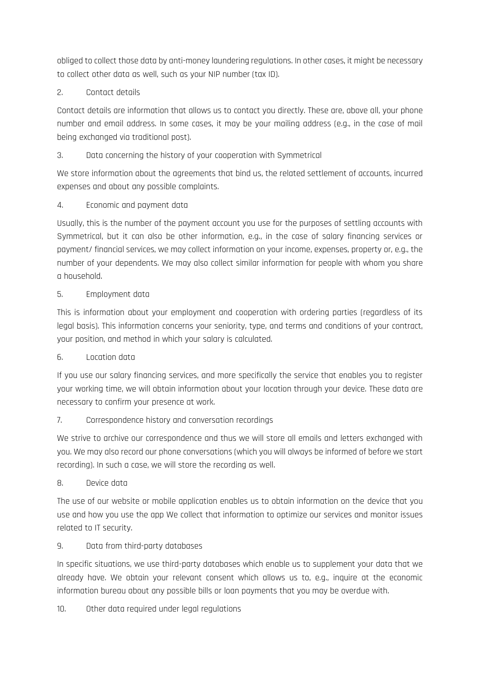obliged to collect those data by anti-money laundering regulations. In other cases, it might be necessary to collect other data as well, such as your NIP number (tax ID).

## 2. Contact details

Contact details are information that allows us to contact you directly. These are, above all, your phone number and email address. In some cases, it may be your mailing address (e.g., in the case of mail being exchanged via traditional post).

## 3. Data concerning the history of your cooperation with Symmetrical

We store information about the agreements that bind us, the related settlement of accounts, incurred expenses and about any possible complaints.

## 4. Economic and payment data

Usually, this is the number of the payment account you use for the purposes of settling accounts with Symmetrical, but it can also be other information, e.g., in the case of salary financing services or payment/ financial services, we may collect information on your income, expenses, property or, e.g., the number of your dependents. We may also collect similar information for people with whom you share a household.

## 5. Employment data

This is information about your employment and cooperation with ordering parties (regardless of its legal basis). This information concerns your seniority, type, and terms and conditions of your contract, your position, and method in which your salary is calculated.

### 6. Location data

If you use our salary financing services, and more specifically the service that enables you to register your working time, we will obtain information about your location through your device. These data are necessary to confirm your presence at work.

### 7. Correspondence history and conversation recordings

We strive to archive our correspondence and thus we will store all emails and letters exchanged with you. We may also record our phone conversations (which you will always be informed of before we start recording). In such a case, we will store the recording as well.

### 8. Device data

The use of our website or mobile application enables us to obtain information on the device that you use and how you use the app We collect that information to optimize our services and monitor issues related to IT security.

## 9. Data from third-party databases

In specific situations, we use third-party databases which enable us to supplement your data that we already have. We obtain your relevant consent which allows us to, e.g., inquire at the economic information bureau about any possible bills or loan payments that you may be overdue with.

10. Other data required under legal regulations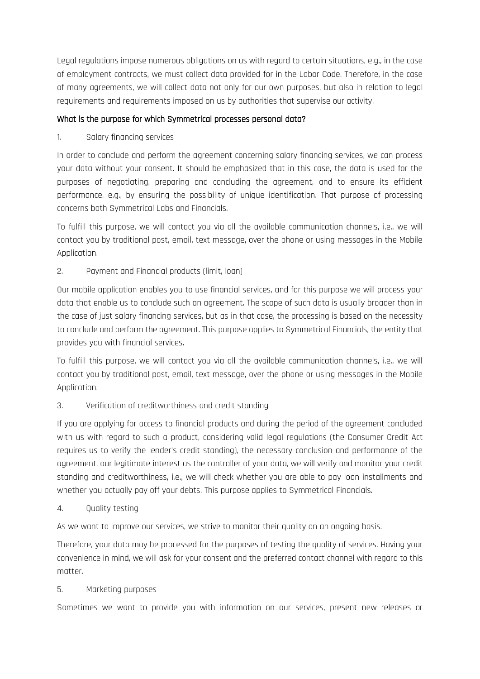Legal regulations impose numerous obligations on us with regard to certain situations, e.g., in the case of employment contracts, we must collect data provided for in the Labor Code. Therefore, in the case of many agreements, we will collect data not only for our own purposes, but also in relation to legal requirements and requirements imposed on us by authorities that supervise our activity.

## What is the purpose for which Symmetrical processes personal data?

## 1. Salary financing services

In order to conclude and perform the agreement concerning salary financing services, we can process your data without your consent. It should be emphasized that in this case, the data is used for the purposes of negotiating, preparing and concluding the agreement, and to ensure its efficient performance, e.g., by ensuring the possibility of unique identification. That purpose of processing concerns both Symmetrical Labs and Financials.

To fulfill this purpose, we will contact you via all the available communication channels, i.e., we will contact you by traditional post, email, text message, over the phone or using messages in the Mobile Application.

## 2. Payment and Financial products (limit, loan)

Our mobile application enables you to use financial services, and for this purpose we will process your data that enable us to conclude such an agreement. The scope of such data is usually broader than in the case of just salary financing services, but as in that case, the processing is based on the necessity to conclude and perform the agreement. This purpose applies to Symmetrical Financials, the entity that provides you with financial services.

To fulfill this purpose, we will contact you via all the available communication channels, i.e., we will contact you by traditional post, email, text message, over the phone or using messages in the Mobile Application.

## 3. Verification of creditworthiness and credit standing

If you are applying for access to financial products and during the period of the agreement concluded with us with regard to such a product, considering valid legal regulations (the Consumer Credit Act requires us to verify the lender's credit standing), the necessary conclusion and performance of the agreement, our legitimate interest as the controller of your data, we will verify and monitor your credit standing and creditworthiness, i.e., we will check whether you are able to pay loan installments and whether you actually pay off your debts. This purpose applies to Symmetrical Financials.

### 4. Quality testing

As we want to improve our services, we strive to monitor their quality on an ongoing basis.

Therefore, your data may be processed for the purposes of testing the quality of services. Having your convenience in mind, we will ask for your consent and the preferred contact channel with regard to this matter.

### 5. Marketing purposes

Sometimes we want to provide you with information on our services, present new releases or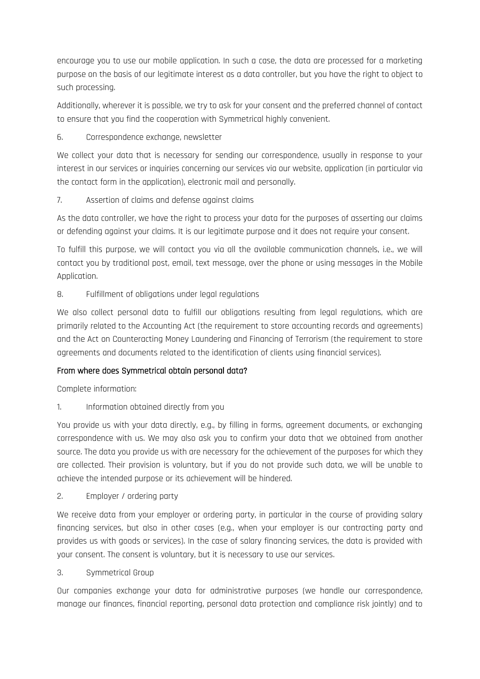encourage you to use our mobile application. In such a case, the data are processed for a marketing purpose on the basis of our legitimate interest as a data controller, but you have the right to object to such processing.

Additionally, wherever it is possible, we try to ask for your consent and the preferred channel of contact to ensure that you find the cooperation with Symmetrical highly convenient.

## 6. Correspondence exchange, newsletter

We collect your data that is necessary for sending our correspondence, usually in response to your interest in our services or inquiries concerning our services via our website, application (in particular via the contact form in the application), electronic mail and personally.

## 7. Assertion of claims and defense against claims

As the data controller, we have the right to process your data for the purposes of asserting our claims or defending against your claims. It is our legitimate purpose and it does not require your consent.

To fulfill this purpose, we will contact you via all the available communication channels, i.e., we will contact you by traditional post, email, text message, over the phone or using messages in the Mobile Application.

## 8. Fulfillment of obligations under legal regulations

We also collect personal data to fulfill our obligations resulting from legal regulations, which are primarily related to the Accounting Act (the requirement to store accounting records and agreements) and the Act on Counteracting Money Laundering and Financing of Terrorism (the requirement to store agreements and documents related to the identification of clients using financial services).

### From where does Symmetrical obtain personal data?

Complete information:

## 1. Information obtained directly from you

You provide us with your data directly, e.g., by filling in forms, agreement documents, or exchanging correspondence with us. We may also ask you to confirm your data that we obtained from another source. The data you provide us with are necessary for the achievement of the purposes for which they are collected. Their provision is voluntary, but if you do not provide such data, we will be unable to achieve the intended purpose or its achievement will be hindered.

### 2. Employer / ordering party

We receive data from your employer or ordering party, in particular in the course of providing salary financing services, but also in other cases (e.g., when your employer is our contracting party and provides us with goods or services). In the case of salary financing services, the data is provided with your consent. The consent is voluntary, but it is necessary to use our services.

### 3. Symmetrical Group

Our companies exchange your data for administrative purposes (we handle our correspondence, manage our finances, financial reporting, personal data protection and compliance risk jointly) and to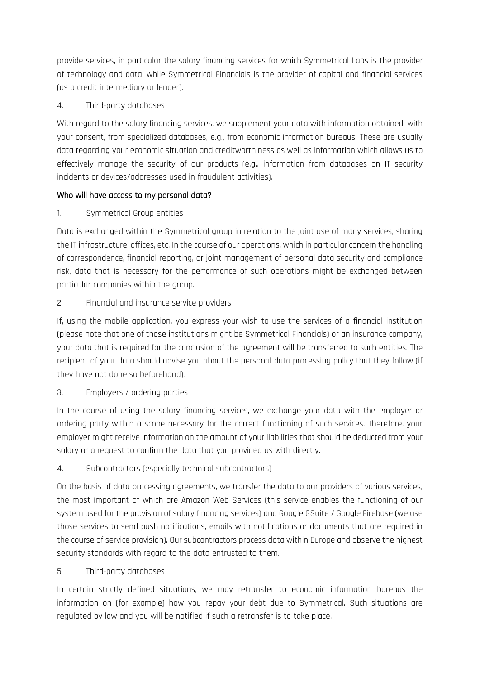provide services, in particular the salary financing services for which Symmetrical Labs is the provider of technology and data, while Symmetrical Financials is the provider of capital and financial services (as a credit intermediary or lender).

## 4. Third-party databases

With regard to the salary financing services, we supplement your data with information obtained, with your consent, from specialized databases, e.g., from economic information bureaus. These are usually data regarding your economic situation and creditworthiness as well as information which allows us to effectively manage the security of our products (e.g., information from databases on IT security incidents or devices/addresses used in fraudulent activities).

## Who will have access to my personal data?

# 1. Symmetrical Group entities

Data is exchanged within the Symmetrical group in relation to the joint use of many services, sharing the IT infrastructure, offices, etc. In the course of our operations, which in particular concern the handling of correspondence, financial reporting, or joint management of personal data security and compliance risk, data that is necessary for the performance of such operations might be exchanged between particular companies within the group.

# 2. Financial and insurance service providers

If, using the mobile application, you express your wish to use the services of a financial institution (please note that one of those institutions might be Symmetrical Financials) or an insurance company, your data that is required for the conclusion of the agreement will be transferred to such entities. The recipient of your data should advise you about the personal data processing policy that they follow (if they have not done so beforehand).

# 3. Employers / ordering parties

In the course of using the salary financing services, we exchange your data with the employer or ordering party within a scope necessary for the correct functioning of such services. Therefore, your employer might receive information on the amount of your liabilities that should be deducted from your salary or a request to confirm the data that you provided us with directly.

# 4. Subcontractors (especially technical subcontractors)

On the basis of data processing agreements, we transfer the data to our providers of various services, the most important of which are Amazon Web Services (this service enables the functioning of our system used for the provision of salary financing services) and Google GSuite / Google Firebase (we use those services to send push notifications, emails with notifications or documents that are required in the course of service provision). Our subcontractors process data within Europe and observe the highest security standards with regard to the data entrusted to them.

# 5. Third-party databases

In certain strictly defined situations, we may retransfer to economic information bureaus the information on (for example) how you repay your debt due to Symmetrical. Such situations are regulated by law and you will be notified if such a retransfer is to take place.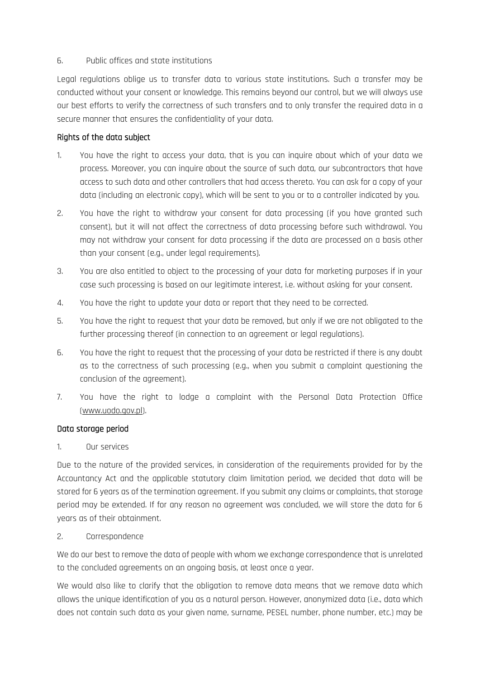#### 6. Public offices and state institutions

Legal regulations oblige us to transfer data to various state institutions. Such a transfer may be conducted without your consent or knowledge. This remains beyond our control, but we will always use our best efforts to verify the correctness of such transfers and to only transfer the required data in a secure manner that ensures the confidentiality of your data.

#### Rights of the data subject

- 1. You have the right to access your data, that is you can inquire about which of your data we process. Moreover, you can inquire about the source of such data, our subcontractors that have access to such data and other controllers that had access thereto. You can ask for a copy of your data (including an electronic copy), which will be sent to you or to a controller indicated by you.
- 2. You have the right to withdraw your consent for data processing (if you have granted such consent), but it will not affect the correctness of data processing before such withdrawal. You may not withdraw your consent for data processing if the data are processed on a basis other than your consent (e.g., under legal requirements).
- 3. You are also entitled to object to the processing of your data for marketing purposes if in your case such processing is based on our legitimate interest, i.e. without asking for your consent.
- 4. You have the right to update your data or report that they need to be corrected.
- 5. You have the right to request that your data be removed, but only if we are not obligated to the further processing thereof (in connection to an agreement or legal regulations).
- 6. You have the right to request that the processing of your data be restricted if there is any doubt as to the correctness of such processing (e.g., when you submit a complaint questioning the conclusion of the agreement).
- 7. You have the right to lodge a complaint with the Personal Data Protection Office [\(www.uodo.gov.pl\)](http://www.uodo.gov.pl/).

### Data storage period

### 1. Our services

Due to the nature of the provided services, in consideration of the requirements provided for by the Accountancy Act and the applicable statutory claim limitation period, we decided that data will be stored for 6 years as of the termination agreement. If you submit any claims or complaints, that storage period may be extended. If for any reason no agreement was concluded, we will store the data for 6 years as of their obtainment.

### 2. Correspondence

We do our best to remove the data of people with whom we exchange correspondence that is unrelated to the concluded agreements on an ongoing basis, at least once a year.

We would also like to clarify that the obligation to remove data means that we remove data which allows the unique identification of you as a natural person. However, anonymized data (i.e., data which does not contain such data as your given name, surname, PESEL number, phone number, etc.) may be